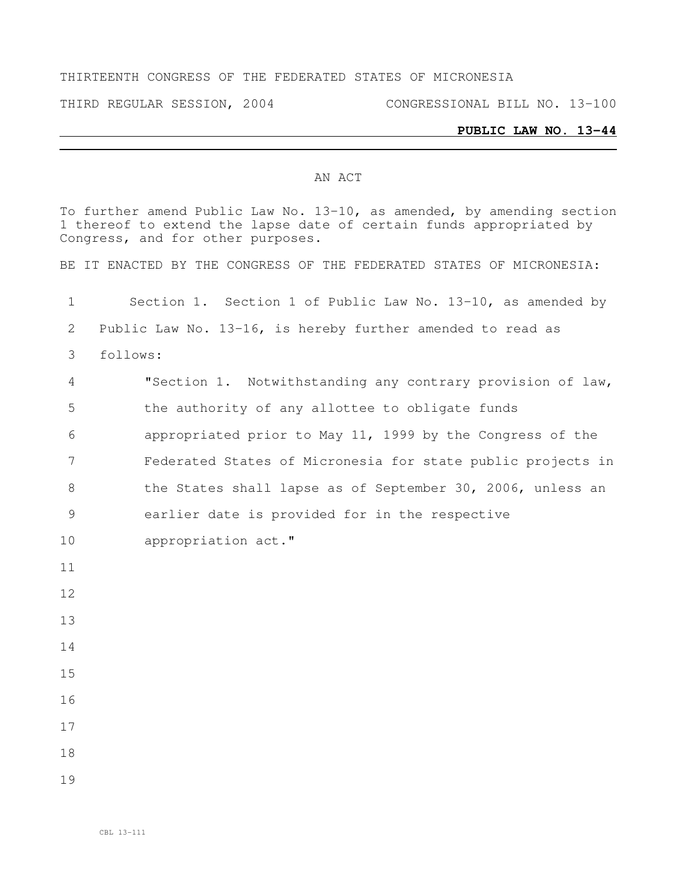#### THIRTEENTH CONGRESS OF THE FEDERATED STATES OF MICRONESIA

THIRD REGULAR SESSION, 2004 CONGRESSIONAL BILL NO. 13-100

### **PUBLIC LAW NO. 13-44**

### AN ACT

To further amend Public Law No. 13-10, as amended, by amending section thereof to extend the lapse date of certain funds appropriated by Congress, and for other purposes. BE IT ENACTED BY THE CONGRESS OF THE FEDERATED STATES OF MICRONESIA: Section 1. Section 1 of Public Law No. 13-10, as amended by Public Law No. 13-16, is hereby further amended to read as follows: "Section 1. Notwithstanding any contrary provision of law, the authority of any allottee to obligate funds appropriated prior to May 11, 1999 by the Congress of the Federated States of Micronesia for state public projects in 8 the States shall lapse as of September 30, 2006, unless an earlier date is provided for in the respective appropriation act."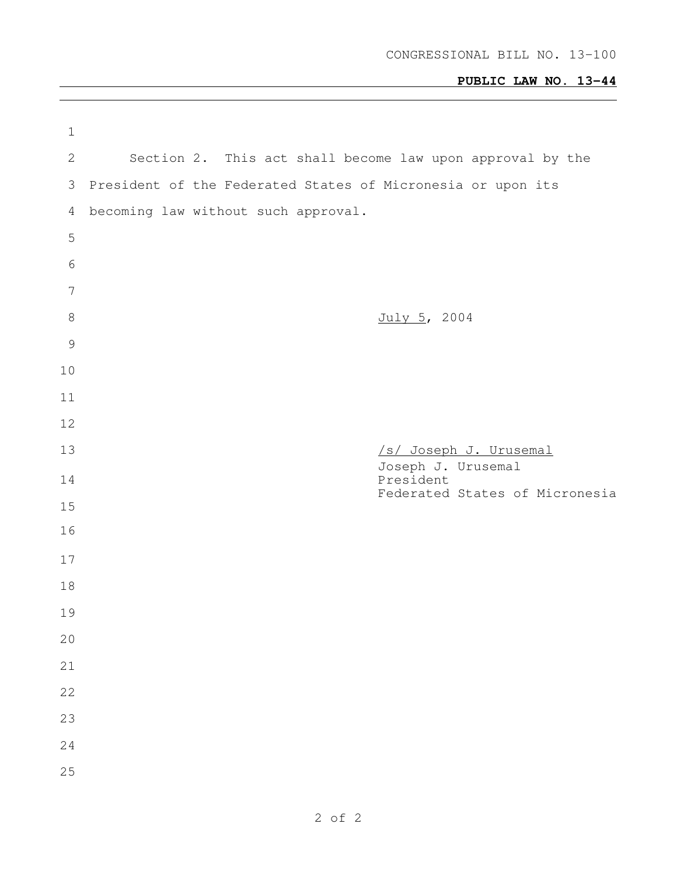# **PUBLIC LAW NO. 13-44**

| $\mathbf 1$    |                                                             |
|----------------|-------------------------------------------------------------|
| $\mathbf{2}$   | Section 2. This act shall become law upon approval by the   |
| 3              | President of the Federated States of Micronesia or upon its |
| 4              | becoming law without such approval.                         |
| 5              |                                                             |
| $6\,$          |                                                             |
| $\overline{7}$ |                                                             |
| $\,8\,$        | July 5, 2004                                                |
| $\mathcal{G}$  |                                                             |
| 10             |                                                             |
| 11             |                                                             |
| 12             |                                                             |
| 13             | /s/ Joseph J. Urusemal<br>Joseph J. Urusemal                |
| 14             | President<br>Federated States of Micronesia                 |
| 15             |                                                             |
| 16             |                                                             |
| 17             |                                                             |
| 18             |                                                             |
| 19             |                                                             |
| 20             |                                                             |
| 21             |                                                             |
| 22             |                                                             |
| 23             |                                                             |
| 24             |                                                             |
| 25             |                                                             |